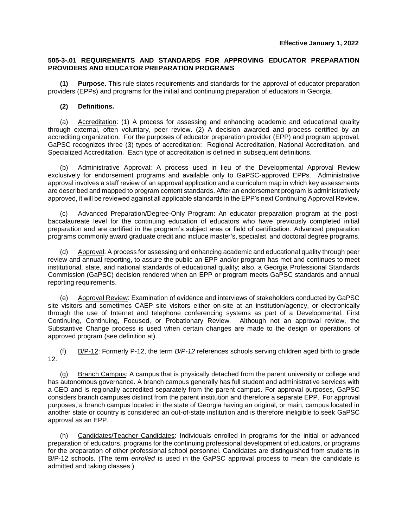## **505-3-.01 REQUIREMENTS AND STANDARDS FOR APPROVING EDUCATOR PREPARATION PROVIDERS AND EDUCATOR PREPARATION PROGRAMS**

**(1) Purpose.** This rule states requirements and standards for the approval of educator preparation providers (EPPs) and programs for the initial and continuing preparation of educators in Georgia.

## **(2) Definitions.**

(a) Accreditation: (1) A process for assessing and enhancing academic and educational quality through external, often voluntary, peer review. (2) A decision awarded and process certified by an accrediting organization. For the purposes of educator preparation provider (EPP) and program approval, GaPSC recognizes three (3) types of accreditation: Regional Accreditation, National Accreditation, and Specialized Accreditation. Each type of accreditation is defined in subsequent definitions.

(b) Administrative Approval: A process used in lieu of the Developmental Approval Review exclusively for endorsement programs and available only to GaPSC-approved EPPs. Administrative approval involves a staff review of an approval application and a curriculum map in which key assessments are described and mapped to program content standards. After an endorsement program is administratively approved, it will be reviewed against all applicable standards in the EPP's next Continuing Approval Review.

(c) Advanced Preparation/Degree-Only Program: An educator preparation program at the postbaccalaureate level for the continuing education of educators who have previously completed initial preparation and are certified in the program's subject area or field of certification. Advanced preparation programs commonly award graduate credit and include master's, specialist, and doctoral degree programs.

(d) Approval: A process for assessing and enhancing academic and educational quality through peer review and annual reporting, to assure the public an EPP and/or program has met and continues to meet institutional, state, and national standards of educational quality; also, a Georgia Professional Standards Commission (GaPSC) decision rendered when an EPP or program meets GaPSC standards and annual reporting requirements.

(e) Approval Review: Examination of evidence and interviews of stakeholders conducted by GaPSC site visitors and sometimes CAEP site visitors either on-site at an institution/agency, or electronically through the use of Internet and telephone conferencing systems as part of a Developmental, First Continuing, Continuing, Focused, or Probationary Review. Although not an approval review, the Substantive Change process is used when certain changes are made to the design or operations of approved program (see definition at).

(f) B/P-12: Formerly P-12, the term *B/P-12* references schools serving children aged birth to grade 12.

(g) Branch Campus: A campus that is physically detached from the parent university or college and has autonomous governance. A branch campus generally has full student and administrative services with a CEO and is regionally accredited separately from the parent campus. For approval purposes, GaPSC considers branch campuses distinct from the parent institution and therefore a separate EPP. For approval purposes, a branch campus located in the state of Georgia having an original, or main, campus located in another state or country is considered an out-of-state institution and is therefore ineligible to seek GaPSC approval as an EPP.

(h) Candidates/Teacher Candidates: Individuals enrolled in programs for the initial or advanced preparation of educators, programs for the continuing professional development of educators, or programs for the preparation of other professional school personnel. Candidates are distinguished from students in B/P-12 schools. (The term *enrolled* is used in the GaPSC approval process to mean the candidate is admitted and taking classes.)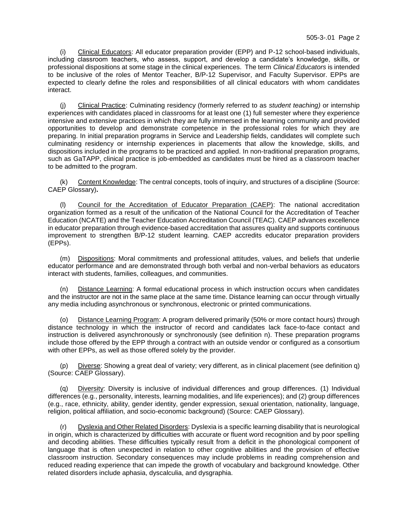(i) Clinical Educators: All educator preparation provider (EPP) and P-12 school-based individuals, including classroom teachers, who assess, support, and develop a candidate's knowledge, skills, or professional dispositions at some stage in the clinical experiences. The term *Clinical Educators* is intended to be inclusive of the roles of Mentor Teacher, B/P-12 Supervisor, and Faculty Supervisor. EPPs are expected to clearly define the roles and responsibilities of all clinical educators with whom candidates interact.

(j) Clinical Practice: Culminating residency (formerly referred to as *student teaching)* or internship experiences with candidates placed in classrooms for at least one (1) full semester where they experience intensive and extensive practices in which they are fully immersed in the learning community and provided opportunities to develop and demonstrate competence in the professional roles for which they are preparing. In initial preparation programs in Service and Leadership fields, candidates will complete such culminating residency or internship experiences in placements that allow the knowledge, skills, and dispositions included in the programs to be practiced and applied. In non-traditional preparation programs, such as GaTAPP, clinical practice is job-embedded as candidates must be hired as a classroom teacher to be admitted to the program.

(k) Content Knowledge: The central concepts, tools of inquiry, and structures of a discipline (Source: CAEP Glossary)**.**

(l) Council for the Accreditation of Educator Preparation (CAEP): The national accreditation organization formed as a result of the unification of the National Council for the Accreditation of Teacher Education (NCATE) and the Teacher Education Accreditation Council (TEAC). CAEP advances excellence in educator preparation through evidence-based accreditation that assures quality and supports continuous improvement to strengthen B/P-12 student learning. CAEP accredits educator preparation providers (EPPs).

(m) Dispositions: Moral commitments and professional attitudes, values, and beliefs that underlie educator performance and are demonstrated through both verbal and non-verbal behaviors as educators interact with students, families, colleagues, and communities.

(n) Distance Learning: A formal educational process in which instruction occurs when candidates and the instructor are not in the same place at the same time. Distance learning can occur through virtually any media including asynchronous or synchronous, electronic or printed communications.

(o) Distance Learning Program: A program delivered primarily (50% or more contact hours) through distance technology in which the instructor of record and candidates lack face-to-face contact and instruction is delivered asynchronously or synchronously (see definition n). These preparation programs include those offered by the EPP through a contract with an outside vendor or configured as a consortium with other EPPs, as well as those offered solely by the provider.

(p) Diverse: Showing a great deal of variety; very different, as in clinical placement (see definition q) (Source: CAEP Glossary).

(q) Diversity: Diversity is inclusive of individual differences and group differences. (1) Individual differences (e.g., personality, interests, learning modalities, and life experiences); and (2) group differences (e.g., race, ethnicity, ability, gender identity, gender expression, sexual orientation, nationality, language, religion, political affiliation, and socio-economic background) (Source: CAEP Glossary).

Dyslexia and Other Related Disorders: Dyslexia is a specific learning disability that is neurological in origin, which is characterized by difficulties with accurate or fluent word recognition and by poor spelling and decoding abilities. These difficulties typically result from a deficit in the phonological component of language that is often unexpected in relation to other cognitive abilities and the provision of effective classroom instruction. Secondary consequences may include problems in reading comprehension and reduced reading experience that can impede the growth of vocabulary and background knowledge. Other related disorders include aphasia, dyscalculia, and dysgraphia.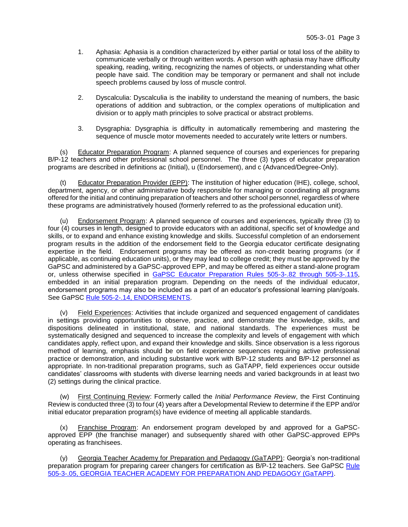- 1. Aphasia: Aphasia is a condition characterized by either partial or total loss of the ability to communicate verbally or through written words. A person with aphasia may have difficulty speaking, reading, writing, recognizing the names of objects, or understanding what other people have said. The condition may be temporary or permanent and shall not include speech problems caused by loss of muscle control.
- 2. Dyscalculia: Dyscalculia is the inability to understand the meaning of numbers, the basic operations of addition and subtraction, or the complex operations of multiplication and division or to apply math principles to solve practical or abstract problems.
- 3. Dysgraphia: Dysgraphia is difficulty in automatically remembering and mastering the sequence of muscle motor movements needed to accurately write letters or numbers.

(s) Educator Preparation Program: A planned sequence of courses and experiences for preparing B/P-12 teachers and other professional school personnel. The three (3) types of educator preparation programs are described in definitions ac (Initial), u (Endorsement), and c (Advanced/Degree-Only).

(t) Educator Preparation Provider (EPP): The institution of higher education (IHE), college, school, department, agency, or other administrative body responsible for managing or coordinating all programs offered for the initial and continuing preparation of teachers and other school personnel, regardless of where these programs are administratively housed (formerly referred to as the professional education unit).

(u) Endorsement Program: A planned sequence of courses and experiences, typically three (3) to four (4) courses in length, designed to provide educators with an additional, specific set of knowledge and skills, or to expand and enhance existing knowledge and skills. Successful completion of an endorsement program results in the addition of the endorsement field to the Georgia educator certificate designating expertise in the field. Endorsement programs may be offered as non-credit bearing programs (or if applicable, as continuing education units), or they may lead to college credit; they must be approved by the GaPSC and administered by a GaPSC-approved EPP, and may be offered as either a stand-alone program or, unless otherwise specified in [GaPSC Educator Preparation Rules 505-3-.82](https://www.gapsc.com/Commission/Rules/Current/EducatorPreparation/EdPrepRules.aspx) through 505-3-.115, embedded in an initial preparation program. Depending on the needs of the individual educator, endorsement programs may also be included as a part of an educator's professional learning plan/goals. See GaPSC [Rule 505-2-.14, ENDORSEMENTS.](https://www.gapsc.com/Rules/Current/Certification/505-2-.14.pdf?dt=%3C%25#Eval()

(v) Field Experiences: Activities that include organized and sequenced engagement of candidates in settings providing opportunities to observe, practice, and demonstrate the knowledge, skills, and dispositions delineated in institutional, state, and national standards. The experiences must be systematically designed and sequenced to increase the complexity and levels of engagement with which candidates apply, reflect upon, and expand their knowledge and skills. Since observation is a less rigorous method of learning, emphasis should be on field experience sequences requiring active professional practice or demonstration, and including substantive work with B/P-12 students and B/P-12 personnel as appropriate. In non-traditional preparation programs, such as GaTAPP, field experiences occur outside candidates' classrooms with students with diverse learning needs and varied backgrounds in at least two (2) settings during the clinical practice.

(w) First Continuing Review: Formerly called the *Initial Performance Review*, the First Continuing Review is conducted three (3) to four (4) years after a Developmental Review to determine if the EPP and/or initial educator preparation program(s) have evidence of meeting all applicable standards.

(x) Franchise Program: An endorsement program developed by and approved for a GaPSCapproved EPP (the franchise manager) and subsequently shared with other GaPSC-approved EPPs operating as franchisees.

(y) Georgia Teacher Academy for Preparation and Pedagogy (GaTAPP): Georgia's non-traditional preparation program for preparing career changers for certification as B/P-12 teachers. See GaPSC [Rule](https://www.gapsc.com/Rules/Current/EducatorPreparation/505-3-.05.pdf?dt=%3C%25#Eval()  [505-3-.05, GEORGIA TEACHER ACADEMY FOR PREPARATION AND PEDAGOGY \(GaTAPP\).](https://www.gapsc.com/Rules/Current/EducatorPreparation/505-3-.05.pdf?dt=%3C%25#Eval()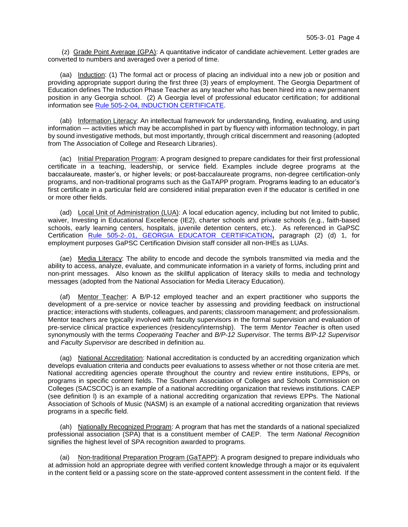(z) Grade Point Average (GPA): A quantitative indicator of candidate achievement. Letter grades are converted to numbers and averaged over a period of time.

(aa) Induction: (1) The formal act or process of placing an individual into a new job or position and providing appropriate support during the first three (3) years of employment. The Georgia Department of Education defines The Induction Phase Teacher as any teacher who has been hired into a new permanent position in any Georgia school. (2) A Georgia level of professional educator certification; for additional information see Rule 505-2-04, [INDUCTION CERTIFICATE.](https://www.gapsc.com/Rules/Current/Certification/505-2-.04.pdf?dt=%3C%25#Eval()

(ab) Information Literacy: An intellectual framework for understanding, finding, evaluating, and using information — activities which may be accomplished in part by fluency with information technology, in part by sound investigative methods, but most importantly, through critical discernment and reasoning (adopted from The Association of College and Research Libraries).

(ac) Initial Preparation Program: A program designed to prepare candidates for their first professional certificate in a teaching, leadership, or service field. Examples include degree programs at the baccalaureate, master's, or higher levels; or post-baccalaureate programs, non-degree certification-only programs, and non-traditional programs such as the GaTAPP program. Programs leading to an educator's first certificate in a particular field are considered initial preparation even if the educator is certified in one or more other fields.

(ad) Local Unit of Administration (LUA): A local education agency, including but not limited to public, waiver, Investing in Educational Excellence (IE2), charter schools and private schools (e.g., faith-based schools, early learning centers, hospitals, juvenile detention centers, etc.). As referenced in GaPSC Certification [Rule 505-2-.01, GEORGIA EDUCATOR CERTIFICATION](https://www.gapsc.com/Rules/Current/Certification/505-2-.01.pdf?dt=%3C%25#Eval()**,** paragraph (2) (d) 1, for employment purposes GaPSC Certification Division staff consider all non-IHEs as LUAs.

(ae) Media Literacy: The ability to encode and decode the symbols transmitted via media and the ability to access, analyze, evaluate, and communicate information in a variety of forms, including print and non-print messages. Also known as the skillful application of literacy skills to media and technology messages (adopted from the National Association for Media Literacy Education).

(af) Mentor Teacher: A B/P-12 employed teacher and an expert practitioner who supports the development of a pre-service or novice teacher by assessing and providing feedback on instructional practice; interactions with students, colleagues, and parents; classroom management; and professionalism. Mentor teachers are typically involved with faculty supervisors in the formal supervision and evaluation of pre-service clinical practice experiences (residency/internship). The term *Mentor Teacher* is often used synonymously with the terms *Cooperating Teacher* and *B/P-12 Supervisor*. The terms *B/P-12 Supervisor* and *Faculty Supervisor* are described in definition au.

(ag) National Accreditation: National accreditation is conducted by an accrediting organization which develops evaluation criteria and conducts peer evaluations to assess whether or not those criteria are met. National accrediting agencies operate throughout the country and review entire institutions, EPPs, or programs in specific content fields. The Southern Association of Colleges and Schools Commission on Colleges (SACSCOC) is an example of a national accrediting organization that reviews institutions. CAEP (see definition l) is an example of a national accrediting organization that reviews EPPs. The National Association of Schools of Music (NASM) is an example of a national accrediting organization that reviews programs in a specific field.

(ah) Nationally Recognized Program: A program that has met the standards of a national specialized professional association (SPA) that is a constituent member of CAEP. The term *National Recognition* signifies the highest level of SPA recognition awarded to programs.

(ai) Non-traditional Preparation Program (GaTAPP): A program designed to prepare individuals who at admission hold an appropriate degree with verified content knowledge through a major or its equivalent in the content field or a passing score on the state-approved content assessment in the content field. If the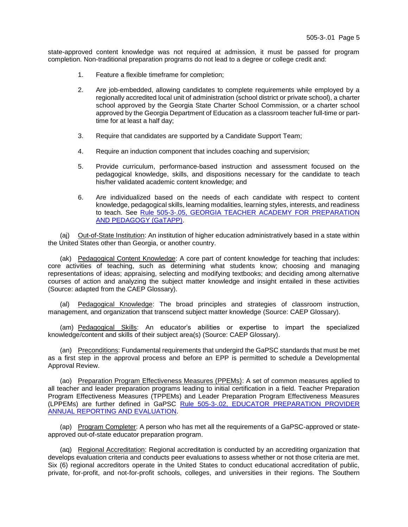state-approved content knowledge was not required at admission, it must be passed for program completion. Non-traditional preparation programs do not lead to a degree or college credit and:

- 1. Feature a flexible timeframe for completion;
- 2. Are job-embedded, allowing candidates to complete requirements while employed by a regionally accredited local unit of administration (school district or private school), a charter school approved by the Georgia State Charter School Commission, or a charter school approved by the Georgia Department of Education as a classroom teacher full-time or parttime for at least a half day;
- 3. Require that candidates are supported by a Candidate Support Team;
- 4. Require an induction component that includes coaching and supervision;
- 5. Provide curriculum, performance-based instruction and assessment focused on the pedagogical knowledge, skills, and dispositions necessary for the candidate to teach his/her validated academic content knowledge; and
- 6. Are individualized based on the needs of each candidate with respect to content knowledge, pedagogical skills, learning modalities, learning styles, interests, and readiness to teach. See [Rule 505-3-.05, GEORGIA TEACHER ACADEMY FOR PREPARATION](https://www.gapsc.com/Rules/Current/EducatorPreparation/505-3-.05.pdf?dt=%3C%25#Eval()  [AND PEDAGOGY \(GaTAPP\).](https://www.gapsc.com/Rules/Current/EducatorPreparation/505-3-.05.pdf?dt=%3C%25#Eval()

(aj) Out-of-State Institution: An institution of higher education administratively based in a state within the United States other than Georgia, or another country.

(ak) Pedagogical Content Knowledge: A core part of content knowledge for teaching that includes: core activities of teaching, such as determining what students know; choosing and managing representations of ideas; appraising, selecting and modifying textbooks; and deciding among alternative courses of action and analyzing the subject matter knowledge and insight entailed in these activities (Source: adapted from the CAEP Glossary).

(al) Pedagogical Knowledge: The broad principles and strategies of classroom instruction, management, and organization that transcend subject matter knowledge (Source: CAEP Glossary).

(am) Pedagogical Skills: An educator's abilities or expertise to impart the specialized knowledge/content and skills of their subject area(s) (Source: CAEP Glossary).

(an) Preconditions: Fundamental requirements that undergird the GaPSC standards that must be met as a first step in the approval process and before an EPP is permitted to schedule a Developmental Approval Review.

(ao) Preparation Program Effectiveness Measures (PPEMs): A set of common measures applied to all teacher and leader preparation programs leading to initial certification in a field. Teacher Preparation Program Effectiveness Measures (TPPEMs) and Leader Preparation Program Effectiveness Measures (LPPEMs) are further defined in GaPSC [Rule 505-3-.02, EDUCATOR PREPARATION](https://www.gapsc.com/Rules/Current/EducatorPreparation/505-3-.02.pdf?dt=%3C%25#Eval() PROVIDER [ANNUAL REPORTING AND](https://www.gapsc.com/Rules/Current/EducatorPreparation/505-3-.02.pdf?dt=%3C%25#Eval() EVALUATION.

(ap) Program Completer: A person who has met all the requirements of a GaPSC-approved or stateapproved out-of-state educator preparation program.

(aq) Regional Accreditation: Regional accreditation is conducted by an accrediting organization that develops evaluation criteria and conducts peer evaluations to assess whether or not those criteria are met. Six (6) regional accreditors operate in the United States to conduct educational accreditation of public, private, for-profit, and not-for-profit schools, colleges, and universities in their regions. The Southern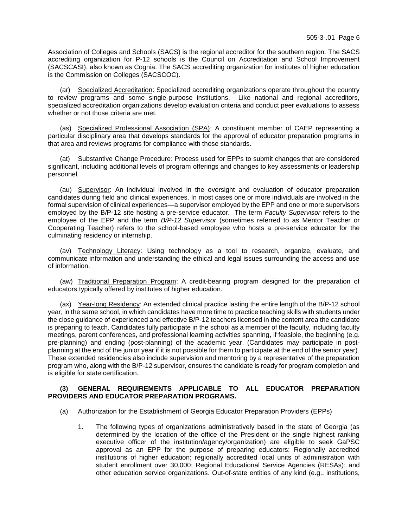Association of Colleges and Schools (SACS) is the regional accreditor for the southern region. The SACS accrediting organization for P-12 schools is the Council on Accreditation and School Improvement (SACSCASI), also known as Cognia. The SACS accrediting organization for institutes of higher education is the Commission on Colleges (SACSCOC).

(ar) Specialized Accreditation: Specialized accrediting organizations operate throughout the country to review programs and some single-purpose institutions. Like national and regional accreditors, specialized accreditation organizations develop evaluation criteria and conduct peer evaluations to assess whether or not those criteria are met.

(as) Specialized Professional Association (SPA): A constituent member of CAEP representing a particular disciplinary area that develops standards for the approval of educator preparation programs in that area and reviews programs for compliance with those standards.

(at) Substantive Change Procedure: Process used for EPPs to submit changes that are considered significant, including additional levels of program offerings and changes to key assessments or leadership personnel.

(au) Supervisor: An individual involved in the oversight and evaluation of educator preparation candidates during field and clinical experiences. In most cases one or more individuals are involved in the formal supervision of clinical experiences—a supervisor employed by the EPP and one or more supervisors employed by the B/P-12 site hosting a pre-service educator. The term *Faculty Supervisor* refers to the employee of the EPP and the term *B/P-12 Supervisor* (sometimes referred to as Mentor Teacher or Cooperating Teacher) refers to the school-based employee who hosts a pre-service educator for the culminating residency or internship.

(av) Technology Literacy: Using technology as a tool to research, organize, evaluate, and communicate information and understanding the ethical and legal issues surrounding the access and use of information.

(aw) Traditional Preparation Program: A credit-bearing program designed for the preparation of educators typically offered by institutes of higher education.

(ax) Year-long Residency: An extended clinical practice lasting the entire length of the B/P-12 school year, in the same school, in which candidates have more time to practice teaching skills with students under the close guidance of experienced and effective B/P-12 teachers licensed in the content area the candidate is preparing to teach. Candidates fully participate in the school as a member of the faculty, including faculty meetings, parent conferences, and professional learning activities spanning, if feasible, the beginning (e.g. pre-planning) and ending (post-planning) of the academic year. (Candidates may participate in postplanning at the end of the junior year if it is not possible for them to participate at the end of the senior year). These extended residencies also include supervision and mentoring by a representative of the preparation program who, along with the B/P-12 supervisor, ensures the candidate is ready for program completion and is eligible for state certification.

## **(3) GENERAL REQUIREMENTS APPLICABLE TO ALL EDUCATOR PREPARATION PROVIDERS AND EDUCATOR PREPARATION PROGRAMS.**

- (a) Authorization for the Establishment of Georgia Educator Preparation Providers (EPPs)
	- 1. The following types of organizations administratively based in the state of Georgia (as determined by the location of the office of the President or the single highest ranking executive officer of the institution/agency/organization) are eligible to seek GaPSC approval as an EPP for the purpose of preparing educators: Regionally accredited institutions of higher education; regionally accredited local units of administration with student enrollment over 30,000; Regional Educational Service Agencies (RESAs); and other education service organizations. Out-of-state entities of any kind (e.g., institutions,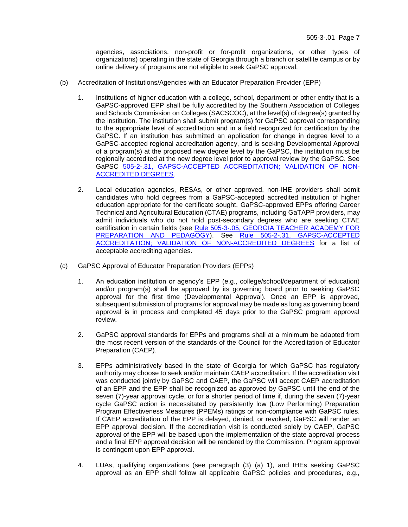agencies, associations, non-profit or for-profit organizations, or other types of organizations) operating in the state of Georgia through a branch or satellite campus or by online delivery of programs are not eligible to seek GaPSC approval.

- (b) Accreditation of Institutions/Agencies with an Educator Preparation Provider (EPP)
	- 1. Institutions of higher education with a college, school, department or other entity that is a GaPSC-approved EPP shall be fully accredited by the Southern Association of Colleges and Schools Commission on Colleges (SACSCOC), at the level(s) of degree(s) granted by the institution. The institution shall submit program(s) for GaPSC approval corresponding to the appropriate level of accreditation and in a field recognized for certification by the GaPSC. If an institution has submitted an application for change in degree level to a GaPSC-accepted regional accreditation agency, and is seeking Developmental Approval of a program(s) at the proposed new degree level by the GaPSC, the institution must be regionally accredited at the new degree level prior to approval review by the GaPSC. See GaPSC [505-2-.31, GAPSC-ACCEPTED ACCREDITATION;](https://www.gapsc.com/Rules/Current/Certification/505-2-.31.pdf?dt=%3C%25#Eval() VALIDATION OF NON-[ACCREDITED DEGREES.](https://www.gapsc.com/Rules/Current/Certification/505-2-.31.pdf?dt=%3C%25#Eval()
	- 2. Local education agencies, RESAs, or other approved, non-IHE providers shall admit candidates who hold degrees from a GaPSC-accepted accredited institution of higher education appropriate for the certificate sought. GaPSC-approved EPPs offering Career Technical and Agricultural Education (CTAE) programs, including GaTAPP providers, may admit individuals who do not hold post-secondary degrees who are seeking CTAE certification in certain fields (see Rule 505-3-.05, [GEORGIA TEACHER ACADEMY FOR](https://www.gapsc.com/Rules/Current/EducatorPreparation/505-3-.05.pdf?dt=%3C%25#Eval()  [PREPARATION AND PEDAGOGY\)](https://www.gapsc.com/Rules/Current/EducatorPreparation/505-3-.05.pdf?dt=%3C%25#Eval(). See [Rule 505-2-.31, GAPSC-ACCEPTED](https://www.gapsc.com/Rules/Current/Certification/505-2-.31.pdf?dt=%3C%25#Eval()  [ACCREDITATION; VALIDATION OF NON-ACCREDITED DEGREES](https://www.gapsc.com/Rules/Current/Certification/505-2-.31.pdf?dt=%3C%25#Eval() for a list of acceptable accrediting agencies.
- (c) GaPSC Approval of Educator Preparation Providers (EPPs)
	- 1. An education institution or agency's EPP (e.g., college/school/department of education) and/or program(s) shall be approved by its governing board prior to seeking GaPSC approval for the first time (Developmental Approval). Once an EPP is approved, subsequent submission of programs for approval may be made as long as governing board approval is in process and completed 45 days prior to the GaPSC program approval review.
	- 2. GaPSC approval standards for EPPs and programs shall at a minimum be adapted from the most recent version of the standards of the Council for the Accreditation of Educator Preparation (CAEP).
	- 3. EPPs administratively based in the state of Georgia for which GaPSC has regulatory authority may choose to seek and/or maintain CAEP accreditation. If the accreditation visit was conducted jointly by GaPSC and CAEP, the GaPSC will accept CAEP accreditation of an EPP and the EPP shall be recognized as approved by GaPSC until the end of the seven (7)-year approval cycle, or for a shorter period of time if, during the seven (7)-year cycle GaPSC action is necessitated by persistently low (Low Performing) Preparation Program Effectiveness Measures (PPEMs) ratings or non-compliance with GaPSC rules. If CAEP accreditation of the EPP is delayed, denied, or revoked, GaPSC will render an EPP approval decision. If the accreditation visit is conducted solely by CAEP, GaPSC approval of the EPP will be based upon the implementation of the state approval process and a final EPP approval decision will be rendered by the Commission. Program approval is contingent upon EPP approval.
	- 4. LUAs, qualifying organizations (see paragraph (3) (a) 1), and IHEs seeking GaPSC approval as an EPP shall follow all applicable GaPSC policies and procedures, e.g.,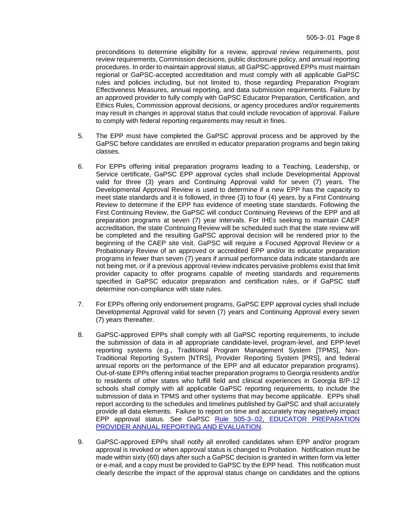preconditions to determine eligibility for a review, approval review requirements, post review requirements, Commission decisions, public disclosure policy, and annual reporting procedures. In order to maintain approval status, all GaPSC-approved EPPs must maintain regional or GaPSC-accepted accreditation and must comply with all applicable GaPSC rules and policies including, but not limited to, those regarding Preparation Program Effectiveness Measures, annual reporting, and data submission requirements. Failure by an approved provider to fully comply with GaPSC Educator Preparation, Certification, and Ethics Rules, Commission approval decisions, or agency procedures and/or requirements may result in changes in approval status that could include revocation of approval. Failure to comply with federal reporting requirements may result in fines.

- 5. The EPP must have completed the GaPSC approval process and be approved by the GaPSC before candidates are enrolled in educator preparation programs and begin taking classes.
- 6. For EPPs offering initial preparation programs leading to a Teaching, Leadership, or Service certificate, GaPSC EPP approval cycles shall include Developmental Approval valid for three (3) years and Continuing Approval valid for seven (7) years. The Developmental Approval Review is used to determine if a new EPP has the capacity to meet state standards and it is followed, in three (3) to four (4) years, by a First Continuing Review to determine if the EPP has evidence of meeting state standards. Following the First Continuing Review, the GaPSC will conduct Continuing Reviews of the EPP and all preparation programs at seven (7) year intervals. For IHEs seeking to maintain CAEP accreditation, the state Continuing Review will be scheduled such that the state review will be completed and the resulting GaPSC approval decision will be rendered prior to the beginning of the CAEP site visit. GaPSC will require a Focused Approval Review or a Probationary Review of an approved or accredited EPP and/or its educator preparation programs in fewer than seven (7) years if annual performance data indicate standards are not being met, or if a previous approval review indicates pervasive problems exist that limit provider capacity to offer programs capable of meeting standards and requirements specified in GaPSC educator preparation and certification rules, or if GaPSC staff determine non-compliance with state rules.
- 7. For EPPs offering only endorsement programs, GaPSC EPP approval cycles shall include Developmental Approval valid for seven (7) years and Continuing Approval every seven (7) years thereafter.
- 8. GaPSC-approved EPPs shall comply with all GaPSC reporting requirements, to include the submission of data in all appropriate candidate-level, program-level, and EPP-level reporting systems (e.g., Traditional Program Management System [TPMS], Non-Traditional Reporting System [NTRS], Provider Reporting System [PRS], and federal annual reports on the performance of the EPP and all educator preparation programs). Out-of-state EPPs offering initial teacher preparation programs to Georgia residents and/or to residents of other states who fulfill field and clinical experiences in Georgia B/P-12 schools shall comply with all applicable GaPSC reporting requirements, to include the submission of data in TPMS and other systems that may become applicable. EPPs shall report according to the schedules and timelines published by GaPSC and shall accurately provide all data elements. Failure to report on time and accurately may negatively impact EPP approval status. See GaPSC Rule 505-3-.02, [EDUCATOR PREPARATION](https://www.gapsc.com/Rules/Current/EducatorPreparation/505-3-.02.pdf?dt=%3C%25#Eval()  [PROVIDER ANNUAL REPORTING AND EVALUATION.](https://www.gapsc.com/Rules/Current/EducatorPreparation/505-3-.02.pdf?dt=%3C%25#Eval()
- 9. GaPSC-approved EPPs shall notify all enrolled candidates when EPP and/or program approval is revoked or when approval status is changed to Probation. Notification must be made within sixty (60) days after such a GaPSC decision is granted in written form via letter or e-mail, and a copy must be provided to GaPSC by the EPP head. This notification must clearly describe the impact of the approval status change on candidates and the options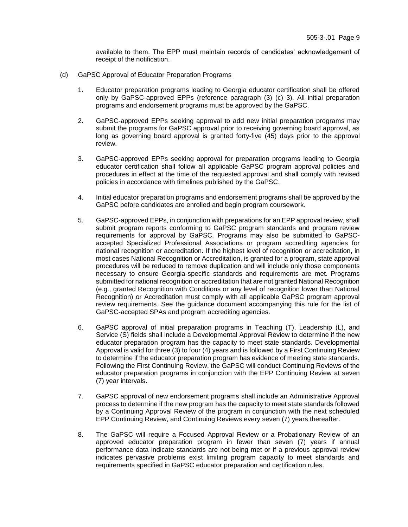available to them. The EPP must maintain records of candidates' acknowledgement of receipt of the notification.

- (d) GaPSC Approval of Educator Preparation Programs
	- 1. Educator preparation programs leading to Georgia educator certification shall be offered only by GaPSC-approved EPPs (reference paragraph (3) (c) 3). All initial preparation programs and endorsement programs must be approved by the GaPSC.
	- 2. GaPSC-approved EPPs seeking approval to add new initial preparation programs may submit the programs for GaPSC approval prior to receiving governing board approval, as long as governing board approval is granted forty-five (45) days prior to the approval review.
	- 3. GaPSC-approved EPPs seeking approval for preparation programs leading to Georgia educator certification shall follow all applicable GaPSC program approval policies and procedures in effect at the time of the requested approval and shall comply with revised policies in accordance with timelines published by the GaPSC.
	- 4. Initial educator preparation programs and endorsement programs shall be approved by the GaPSC before candidates are enrolled and begin program coursework.
	- 5. GaPSC-approved EPPs, in conjunction with preparations for an EPP approval review, shall submit program reports conforming to GaPSC program standards and program review requirements for approval by GaPSC. Programs may also be submitted to GaPSCaccepted Specialized Professional Associations or program accrediting agencies for national recognition or accreditation. If the highest level of recognition or accreditation, in most cases National Recognition or Accreditation, is granted for a program, state approval procedures will be reduced to remove duplication and will include only those components necessary to ensure Georgia-specific standards and requirements are met. Programs submitted for national recognition or accreditation that are not granted National Recognition (e.g., granted Recognition with Conditions or any level of recognition lower than National Recognition) or Accreditation must comply with all applicable GaPSC program approval review requirements. See the guidance document accompanying this rule for the list of GaPSC-accepted SPAs and program accrediting agencies.
	- 6. GaPSC approval of initial preparation programs in Teaching (T), Leadership (L), and Service (S) fields shall include a Developmental Approval Review to determine if the new educator preparation program has the capacity to meet state standards. Developmental Approval is valid for three (3) to four (4) years and is followed by a First Continuing Review to determine if the educator preparation program has evidence of meeting state standards. Following the First Continuing Review, the GaPSC will conduct Continuing Reviews of the educator preparation programs in conjunction with the EPP Continuing Review at seven (7) year intervals.
	- 7. GaPSC approval of new endorsement programs shall include an Administrative Approval process to determine if the new program has the capacity to meet state standards followed by a Continuing Approval Review of the program in conjunction with the next scheduled EPP Continuing Review, and Continuing Reviews every seven (7) years thereafter.
	- 8. The GaPSC will require a Focused Approval Review or a Probationary Review of an approved educator preparation program in fewer than seven (7) years if annual performance data indicate standards are not being met or if a previous approval review indicates pervasive problems exist limiting program capacity to meet standards and requirements specified in GaPSC educator preparation and certification rules.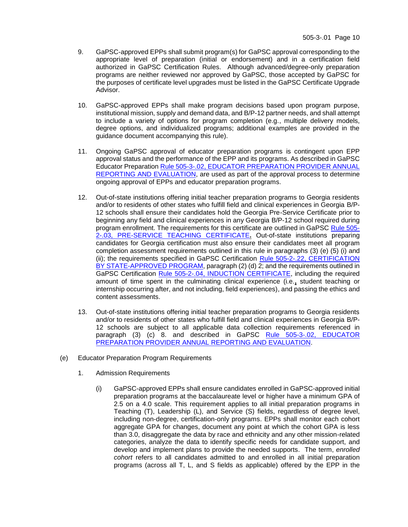- 9. GaPSC-approved EPPs shall submit program(s) for GaPSC approval corresponding to the appropriate level of preparation (initial or endorsement) and in a certification field authorized in GaPSC Certification Rules. Although advanced/degree-only preparation programs are neither reviewed nor approved by GaPSC, those accepted by GaPSC for the purposes of certificate level upgrades must be listed in the GaPSC Certificate Upgrade Advisor.
- 10. GaPSC-approved EPPs shall make program decisions based upon program purpose, institutional mission, supply and demand data, and B/P-12 partner needs, and shall attempt to include a variety of options for program completion (e.g., multiple delivery models, degree options, and individualized programs; additional examples are provided in the guidance document accompanying this rule).
- 11. Ongoing GaPSC approval of educator preparation programs is contingent upon EPP approval status and the performance of the EPP and its programs. As described in GaPSC Educator Preparation Rule 505-3-.02, [EDUCATOR PREPARATION](https://www.gapsc.com/Rules/Current/EducatorPreparation/505-3-.02.pdf?dt=%3C%25#Eval() PROVIDER ANNUAL [REPORTING AND EVALUATION,](https://www.gapsc.com/Rules/Current/EducatorPreparation/505-3-.02.pdf?dt=%3C%25#Eval() are used as part of the approval process to determine ongoing approval of EPPs and educator preparation programs.
- 12. Out-of-state institutions offering initial teacher preparation programs to Georgia residents and/or to residents of other states who fulfill field and clinical experiences in Georgia B/P-12 schools shall ensure their candidates hold the Georgia Pre-Service Certificate prior to beginning any field and clinical experiences in any Georgia B/P-12 school required during program enrollment. The requirements for this certificate are outlined in GaPSC [Rule 505-](https://www.gapsc.com/Rules/Current/Certification/505-2-.03.pdf?dt=%3C%25#Eval() [2-.03, PRE-SERVICE TEACHING CERTIFICATE](https://www.gapsc.com/Rules/Current/Certification/505-2-.03.pdf?dt=%3C%25#Eval()**.** Out-of-state institutions preparing candidates for Georgia certification must also ensure their candidates meet all program completion assessment requirements outlined in this rule in paragraphs (3) (e) (5) (i) and (ii); the requirements specified in GaPSC Certification [Rule 505-2-.22, CERTIFICATION](https://www.gapsc.com/Rules/Current/Certification/505-2-.22.pdf?dt=%3C%25#Eval()  [BY STATE-APPROVED PROGRAM,](https://www.gapsc.com/Rules/Current/Certification/505-2-.22.pdf?dt=%3C%25#Eval() paragraph (2) (d) 2; and the requirements outlined in GaPSC Certification [Rule 505-2-.04, INDUCTION CERTIFICATE,](https://www.gapsc.com/Rules/Current/Certification/505-2-.04.pdf?dt=%3C%25#Eval() including the required amount of time spent in the culminating clinical experience (i.e.**,** student teaching or internship occurring after, and not including, field experiences), and passing the ethics and content assessments.
- 13. Out-of-state institutions offering initial teacher preparation programs to Georgia residents and/or to residents of other states who fulfill field and clinical experiences in Georgia B/P-12 schools are subject to all applicable data collection requirements referenced in paragraph (3) (c) 8. and described in GaPSC [Rule 505-3-.02, EDUCATOR](https://www.gapsc.com/Rules/Current/EducatorPreparation/505-3-.02.pdf?dt=%3C%25#Eval()  PREPARATION PROVIDER [ANNUAL REPORTING AND EVALUATION.](https://www.gapsc.com/Rules/Current/EducatorPreparation/505-3-.02.pdf?dt=%3C%25#Eval()
- (e) Educator Preparation Program Requirements
	- 1. Admission Requirements
		- (i) GaPSC-approved EPPs shall ensure candidates enrolled in GaPSC-approved initial preparation programs at the baccalaureate level or higher have a minimum GPA of 2.5 on a 4.0 scale. This requirement applies to all initial preparation programs in Teaching (T), Leadership (L), and Service (S) fields, regardless of degree level, including non-degree, certification-only programs. EPPs shall monitor each cohort aggregate GPA for changes, document any point at which the cohort GPA is less than 3.0, disaggregate the data by race and ethnicity and any other mission-related categories, analyze the data to identify specific needs for candidate support, and develop and implement plans to provide the needed supports. The term, *enrolled cohort* refers to all candidates admitted to and enrolled in all initial preparation programs (across all T, L, and S fields as applicable) offered by the EPP in the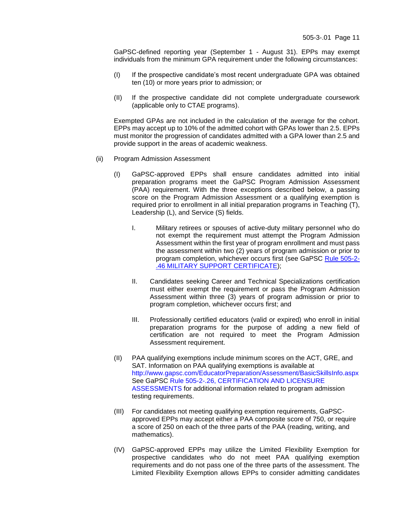GaPSC-defined reporting year (September 1 - August 31). EPPs may exempt individuals from the minimum GPA requirement under the following circumstances:

- (I) If the prospective candidate's most recent undergraduate GPA was obtained ten (10) or more years prior to admission; or
- (II) If the prospective candidate did not complete undergraduate coursework (applicable only to CTAE programs).

Exempted GPAs are not included in the calculation of the average for the cohort. EPPs may accept up to 10% of the admitted cohort with GPAs lower than 2.5. EPPs must monitor the progression of candidates admitted with a GPA lower than 2.5 and provide support in the areas of academic weakness.

- (ii) Program Admission Assessment
	- (I) GaPSC-approved EPPs shall ensure candidates admitted into initial preparation programs meet the GaPSC Program Admission Assessment (PAA) requirement. With the three exceptions described below, a passing score on the Program Admission Assessment or a qualifying exemption is required prior to enrollment in all initial preparation programs in Teaching (T), Leadership (L), and Service (S) fields.
		- I. Military retirees or spouses of active-duty military personnel who do not exempt the requirement must attempt the Program Admission Assessment within the first year of program enrollment and must pass the assessment within two (2) years of program admission or prior to program completion, whichever occurs first (see GaPSC [Rule 505-2-](https://www.gapsc.com/Rules/Current/Certification/505-2-.46.pdf?dt=%3C%25#Eval() [.46 MILITARY SUPPORT CERTIFICATE\)](https://www.gapsc.com/Rules/Current/Certification/505-2-.46.pdf?dt=%3C%25#Eval();
		- II. Candidates seeking Career and Technical Specializations certification must either exempt the requirement or pass the Program Admission Assessment within three (3) years of program admission or prior to program completion, whichever occurs first; and
		- III. Professionally certified educators (valid or expired) who enroll in initial preparation programs for the purpose of adding a new field of certification are not required to meet the Program Admission Assessment requirement.
	- (II) PAA qualifying exemptions include minimum scores on the ACT, GRE, and SAT. Information on PAA qualifying exemptions is available at <http://www.gapsc.com/EducatorPreparation/Assessment/BasicSkillsInfo.aspx> See GaPSC [Rule 505-2-.26, CERTIFICATION AND LICENSURE](https://www.gapsc.com/Rules/Current/Certification/505-2-.26.pdf?dt=%3C%25#Eval()  [ASSESSMENTS](https://www.gapsc.com/Rules/Current/Certification/505-2-.26.pdf?dt=%3C%25#Eval() for additional information related to program admission testing requirements.
	- (III) For candidates not meeting qualifying exemption requirements, GaPSCapproved EPPs may accept either a PAA composite score of 750, or require a score of 250 on each of the three parts of the PAA (reading, writing, and mathematics).
	- (IV) GaPSC-approved EPPs may utilize the Limited Flexibility Exemption for prospective candidates who do not meet PAA qualifying exemption requirements and do not pass one of the three parts of the assessment. The Limited Flexibility Exemption allows EPPs to consider admitting candidates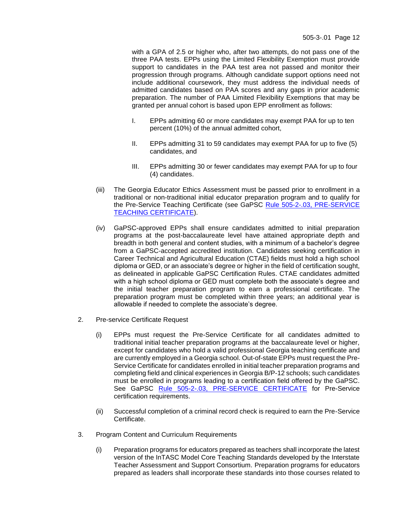with a GPA of 2.5 or higher who, after two attempts, do not pass one of the three PAA tests. EPPs using the Limited Flexibility Exemption must provide support to candidates in the PAA test area not passed and monitor their progression through programs. Although candidate support options need not include additional coursework, they must address the individual needs of admitted candidates based on PAA scores and any gaps in prior academic preparation. The number of PAA Limited Flexibility Exemptions that may be granted per annual cohort is based upon EPP enrollment as follows:

- I. EPPs admitting 60 or more candidates may exempt PAA for up to ten percent (10%) of the annual admitted cohort,
- II. EPPs admitting 31 to 59 candidates may exempt PAA for up to five (5) candidates, and
- III. EPPs admitting 30 or fewer candidates may exempt PAA for up to four (4) candidates.
- (iii) The Georgia Educator Ethics Assessment must be passed prior to enrollment in a traditional or non-traditional initial educator preparation program and to qualify for the Pre-Service Teaching Certificate (see GaPSC Rule 505-2-.03, PRE-SERVICE [TEACHING CERTIFICATE\)](https://www.gapsc.com/Rules/Current/Certification/505-2-.03.pdf?dt=%3C%25#Eval().
- (iv) GaPSC-approved EPPs shall ensure candidates admitted to initial preparation programs at the post-baccalaureate level have attained appropriate depth and breadth in both general and content studies, with a minimum of a bachelor's degree from a GaPSC-accepted accredited institution. Candidates seeking certification in Career Technical and Agricultural Education (CTAE) fields must hold a high school diploma or GED, or an associate's degree or higher in the field of certification sought, as delineated in applicable GaPSC Certification Rules. CTAE candidates admitted with a high school diploma or GED must complete both the associate's degree and the initial teacher preparation program to earn a professional certificate. The preparation program must be completed within three years; an additional year is allowable if needed to complete the associate's degree.
- 2. Pre-service Certificate Request
	- (i) EPPs must request the Pre-Service Certificate for all candidates admitted to traditional initial teacher preparation programs at the baccalaureate level or higher, except for candidates who hold a valid professional Georgia teaching certificate and are currently employed in a Georgia school. Out-of-state EPPs must request the Pre-Service Certificate for candidates enrolled in initial teacher preparation programs and completing field and clinical experiences in Georgia B/P-12 schools; such candidates must be enrolled in programs leading to a certification field offered by the GaPSC. See GaPSC [Rule 505-2-.03, PRE-SERVICE CERTIFICATE](https://www.gapsc.com/Rules/Current/Certification/505-2-.03.pdf?dt=%3C%25#Eval() for Pre-Service certification requirements.
	- (ii) Successful completion of a criminal record check is required to earn the Pre-Service **Certificate**
- 3. Program Content and Curriculum Requirements
	- (i) Preparation programs for educators prepared as teachers shall incorporate the latest version of the InTASC Model Core Teaching Standards developed by the Interstate Teacher Assessment and Support Consortium. Preparation programs for educators prepared as leaders shall incorporate these standards into those courses related to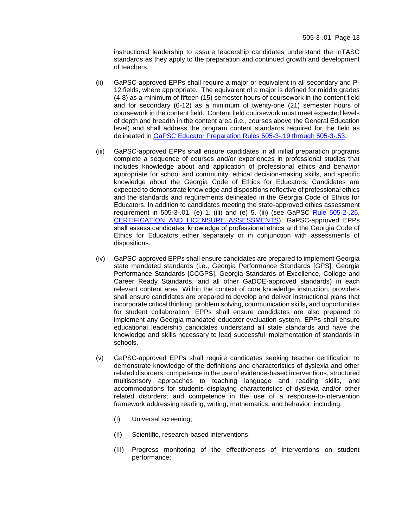instructional leadership to assure leadership candidates understand the InTASC standards as they apply to the preparation and continued growth and development of teachers.

- (ii) GaPSC-approved EPPs shall require a major or equivalent in all secondary and P-12 fields, where appropriate. The equivalent of a major is defined for middle grades (4-8) as a minimum of fifteen (15) semester hours of coursework in the content field and for secondary (6-12) as a minimum of twenty-one (21) semester hours of coursework in the content field. Content field coursework must meet expected levels of depth and breadth in the content area (i.e., courses above the General Education level) and shall address the program content standards required for the field as delineated in [GaPSC Educator Preparation Rules 505-3-.19 through 505-3-.53.](https://www.gapsc.com/Commission/Rules/Current/EducatorPreparation/EdPrepRules.aspx)
- (iii) GaPSC-approved EPPs shall ensure candidates in all initial preparation programs complete a sequence of courses and/or experiences in professional studies that includes knowledge about and application of professional ethics and behavior appropriate for school and community, ethical decision-making skills, and specific knowledge about the Georgia Code of Ethics for Educators. Candidates are expected to demonstrate knowledge and dispositions reflective of professional ethics and the standards and requirements delineated in the Georgia Code of Ethics for Educators. In addition to candidates meeting the state-approved ethics assessment requirement in 505-3-.01, (e) 1. (iii) and (e) 5. (iii) (see GaPSC [Rule 505-2-.26,](https://www.gapsc.com/Rules/Current/Certification/505-2-.26.pdf?dt=%3C%25#Eval() [CERTIFICATION AND LICENSURE ASSESSMENTS\)](https://www.gapsc.com/Rules/Current/Certification/505-2-.26.pdf?dt=%3C%25#Eval(), GaPSC-approved EPPs shall assess candidates' knowledge of professional ethics and the Georgia Code of Ethics for Educators either separately or in conjunction with assessments of dispositions.
- (iv) GaPSC-approved EPPs shall ensure candidates are prepared to implement Georgia state mandated standards (i.e., Georgia Performance Standards [GPS]; Georgia Performance Standards [CCGPS], Georgia Standards of Excellence, College and Career Ready Standards, and all other GaDOE-approved standards) in each relevant content area. Within the context of core knowledge instruction, providers shall ensure candidates are prepared to develop and deliver instructional plans that incorporate critical thinking, problem solving, communication skills**,** and opportunities for student collaboration. EPPs shall ensure candidates are also prepared to implement any Georgia mandated educator evaluation system. EPPs shall ensure educational leadership candidates understand all state standards and have the knowledge and skills necessary to lead successful implementation of standards in schools.
- (v) GaPSC-approved EPPs shall require candidates seeking teacher certification to demonstrate knowledge of the definitions and characteristics of dyslexia and other related disorders; competence in the use of evidence-based interventions, structured multisensory approaches to teaching language and reading skills, and accommodations for students displaying characteristics of dyslexia and/or other related disorders; and competence in the use of a response-to-intervention framework addressing reading, writing, mathematics, and behavior, including:
	- (I) Universal screening;
	- (II) Scientific, research-based interventions;
	- (III) Progress monitoring of the effectiveness of interventions on student performance;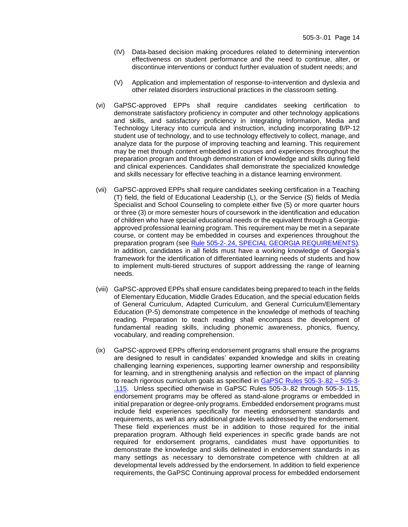- (IV) Data-based decision making procedures related to determining intervention effectiveness on student performance and the need to continue, alter, or discontinue interventions or conduct further evaluation of student needs; and
- (V) Application and implementation of response-to-intervention and dyslexia and other related disorders instructional practices in the classroom setting.
- (vi) GaPSC-approved EPPs shall require candidates seeking certification to demonstrate satisfactory proficiency in computer and other technology applications and skills, and satisfactory proficiency in integrating Information, Media and Technology Literacy into curricula and instruction, including incorporating B/P-12 student use of technology, and to use technology effectively to collect, manage, and analyze data for the purpose of improving teaching and learning. This requirement may be met through content embedded in courses and experiences throughout the preparation program and through demonstration of knowledge and skills during field and clinical experiences. Candidates shall demonstrate the specialized knowledge and skills necessary for effective teaching in a distance learning environment.
- (vii) GaPSC-approved EPPs shall require candidates seeking certification in a Teaching (T) field, the field of Educational Leadership (L), or the Service (S) fields of Media Specialist and School Counseling to complete either five (5) or more quarter hours or three (3) or more semester hours of coursework in the identification and education of children who have special educational needs or the equivalent through a Georgiaapproved professional learning program. This requirement may be met in a separate course, or content may be embedded in courses and experiences throughout the preparation program (see [Rule 505-2-.24, SPECIAL GEORGIA REQUIREMENTS\)](https://www.gapsc.com/Rules/Current/Certification/505-2-.24.pdf?dt=%3C%25#Eval(). In addition, candidates in all fields must have a working knowledge of Georgia's framework for the identification of differentiated learning needs of students and how to implement multi-tiered structures of support addressing the range of learning needs.
- (viii) GaPSC-approved EPPs shall ensure candidates being prepared to teach in the fields of Elementary Education, Middle Grades Education, and the special education fields of General Curriculum, Adapted Curriculum, and General Curriculum/Elementary Education (P-5) demonstrate competence in the knowledge of methods of teaching reading. Preparation to teach reading shall encompass the development of fundamental reading skills, including phonemic awareness, phonics, fluency, vocabulary, and reading comprehension.
- (ix) GaPSC-approved EPPs offering endorsement programs shall ensure the programs are designed to result in candidates' expanded knowledge and skills in creating challenging learning experiences, supporting learner ownership and responsibility for learning, and in strengthening analysis and reflection on the impact of planning to reach rigorous curriculum goals as specified in [GaPSC Rules 505-3-.82 –](https://www.gapsc.com/Commission/Rules/Current/EducatorPreparation/EdPrepRules.aspx) 505-3- [.115.](https://www.gapsc.com/Commission/Rules/Current/EducatorPreparation/EdPrepRules.aspx) Unless specified otherwise in GaPSC Rules 505-3-.82 through 505-3-.115, endorsement programs may be offered as stand-alone programs or embedded in initial preparation or degree-only programs. Embedded endorsement programs must include field experiences specifically for meeting endorsement standards and requirements, as well as any additional grade levels addressed by the endorsement. These field experiences must be in addition to those required for the initial preparation program. Although field experiences in specific grade bands are not required for endorsement programs, candidates must have opportunities to demonstrate the knowledge and skills delineated in endorsement standards in as many settings as necessary to demonstrate competence with children at all developmental levels addressed by the endorsement. In addition to field experience requirements, the GaPSC Continuing approval process for embedded endorsement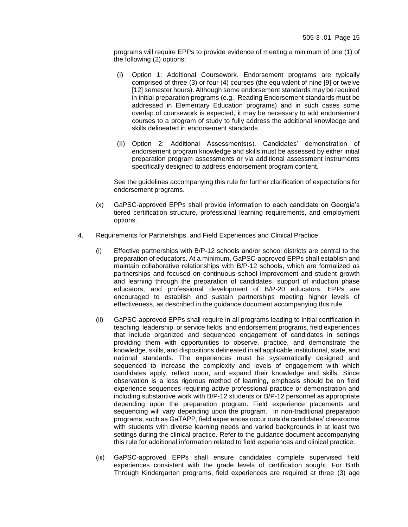programs will require EPPs to provide evidence of meeting a minimum of one (1) of the following (2) options:

- (I) Option 1: Additional Coursework. Endorsement programs are typically comprised of three (3) or four (4) courses (the equivalent of nine [9] or twelve [12] semester hours). Although some endorsement standards may be required in initial preparation programs (e.g., Reading Endorsement standards must be addressed in Elementary Education programs) and in such cases some overlap of coursework is expected, it may be necessary to add endorsement courses to a program of study to fully address the additional knowledge and skills delineated in endorsement standards.
- (II) Option 2: Additional Assessments(s). Candidates' demonstration of endorsement program knowledge and skills must be assessed by either initial preparation program assessments or via additional assessment instruments specifically designed to address endorsement program content.

See the guidelines accompanying this rule for further clarification of expectations for endorsement programs.

- (x) GaPSC-approved EPPs shall provide information to each candidate on Georgia's tiered certification structure, professional learning requirements, and employment options.
- 4. Requirements for Partnerships, and Field Experiences and Clinical Practice
	- (i) Effective partnerships with B/P-12 schools and/or school districts are central to the preparation of educators. At a minimum, GaPSC-approved EPPs shall establish and maintain collaborative relationships with B/P-12 schools, which are formalized as partnerships and focused on continuous school improvement and student growth and learning through the preparation of candidates, support of induction phase educators, and professional development of B/P-20 educators. EPPs are encouraged to establish and sustain partnerships meeting higher levels of effectiveness, as described in the guidance document accompanying this rule.
	- (ii) GaPSC-approved EPPs shall require in all programs leading to initial certification in teaching, leadership, or service fields, and endorsement programs, field experiences that include organized and sequenced engagement of candidates in settings providing them with opportunities to observe, practice, and demonstrate the knowledge, skills, and dispositions delineated in all applicable institutional, state, and national standards. The experiences must be systematically designed and sequenced to increase the complexity and levels of engagement with which candidates apply, reflect upon, and expand their knowledge and skills. Since observation is a less rigorous method of learning, emphasis should be on field experience sequences requiring active professional practice or demonstration and including substantive work with B/P-12 students or B/P-12 personnel as appropriate depending upon the preparation program. Field experience placements and sequencing will vary depending upon the program. In non-traditional preparation programs, such as GaTAPP, field experiences occur outside candidates' classrooms with students with diverse learning needs and varied backgrounds in at least two settings during the clinical practice. Refer to the guidance document accompanying this rule for additional information related to field experiences and clinical practice.
	- (iii) GaPSC-approved EPPs shall ensure candidates complete supervised field experiences consistent with the grade levels of certification sought. For Birth Through Kindergarten programs, field experiences are required at three (3) age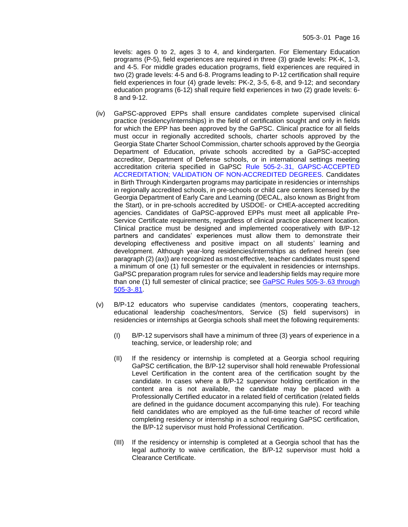levels: ages 0 to 2, ages 3 to 4, and kindergarten. For Elementary Education programs (P-5), field experiences are required in three (3) grade levels: PK-K, 1-3, and 4-5. For middle grades education programs, field experiences are required in two (2) grade levels: 4-5 and 6-8. Programs leading to P-12 certification shall require field experiences in four (4) grade levels: PK-2, 3-5, 6-8, and 9-12; and secondary education programs (6-12) shall require field experiences in two (2) grade levels: 6- 8 and 9-12.

- (iv) GaPSC-approved EPPs shall ensure candidates complete supervised clinical practice (residency/internships) in the field of certification sought and only in fields for which the EPP has been approved by the GaPSC. Clinical practice for all fields must occur in regionally accredited schools, charter schools approved by the Georgia State Charter School Commission, charter schools approved by the Georgia Department of Education, private schools accredited by a GaPSC-accepted accreditor, Department of Defense schools, or in international settings meeting accreditation criteria specified in GaPSC [Rule 505-2-.31, GAPSC-ACCEPTED](https://www.gapsc.com/Rules/Current/Certification/505-2-.31.pdf?dt=%3C%25#Eval()  [ACCREDITATION; VALIDATION OF NON-ACCREDITED DEGREES.](https://www.gapsc.com/Rules/Current/Certification/505-2-.31.pdf?dt=%3C%25#Eval() Candidates in Birth Through Kindergarten programs may participate in residencies or internships in regionally accredited schools, in pre-schools or child care centers licensed by the Georgia Department of Early Care and Learning (DECAL, also known as Bright from the Start), or in pre-schools accredited by USDOE- or CHEA-accepted accrediting agencies. Candidates of GaPSC-approved EPPs must meet all applicable Pre-Service Certificate requirements, regardless of clinical practice placement location. Clinical practice must be designed and implemented cooperatively with B/P-12 partners and candidates' experiences must allow them to demonstrate their developing effectiveness and positive impact on all students' learning and development. Although year-long residencies/internships as defined herein (see paragraph (2) (ax)) are recognized as most effective, teacher candidates must spend a minimum of one (1) full semester or the equivalent in residencies or internships. GaPSC preparation program rules for service and leadership fields may require more than one (1) full semester of clinical practice; see GaPSC Rules 505-3-.63 through [505-3-.81.](https://www.gapsc.com/Commission/Rules/Current/EducatorPreparation/EdPrepRules.aspx)
- (v) B/P-12 educators who supervise candidates (mentors, cooperating teachers, educational leadership coaches/mentors, Service (S) field supervisors) in residencies or internships at Georgia schools shall meet the following requirements:
	- (I) B/P-12 supervisors shall have a minimum of three (3) years of experience in a teaching, service, or leadership role; and
	- (II) If the residency or internship is completed at a Georgia school requiring GaPSC certification, the B/P-12 supervisor shall hold renewable Professional Level Certification in the content area of the certification sought by the candidate. In cases where a B/P-12 supervisor holding certification in the content area is not available, the candidate may be placed with a Professionally Certified educator in a related field of certification (related fields are defined in the guidance document accompanying this rule). For teaching field candidates who are employed as the full-time teacher of record while completing residency or internship in a school requiring GaPSC certification, the B/P-12 supervisor must hold Professional Certification.
	- (III) If the residency or internship is completed at a Georgia school that has the legal authority to waive certification, the B/P-12 supervisor must hold a Clearance Certificate.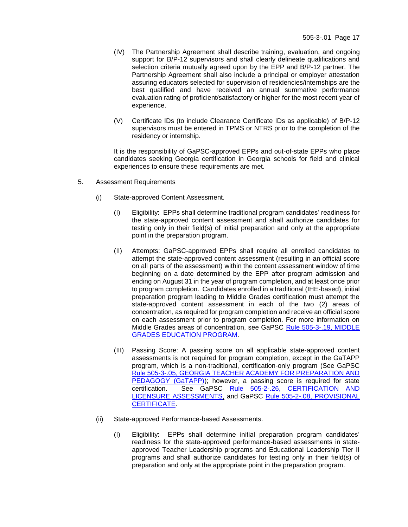- (IV) The Partnership Agreement shall describe training, evaluation, and ongoing support for B/P-12 supervisors and shall clearly delineate qualifications and selection criteria mutually agreed upon by the EPP and B/P-12 partner. The Partnership Agreement shall also include a principal or employer attestation assuring educators selected for supervision of residencies/internships are the best qualified and have received an annual summative performance evaluation rating of proficient/satisfactory or higher for the most recent year of experience.
- (V) Certificate IDs (to include Clearance Certificate IDs as applicable) of B/P-12 supervisors must be entered in TPMS or NTRS prior to the completion of the residency or internship.

It is the responsibility of GaPSC-approved EPPs and out-of-state EPPs who place candidates seeking Georgia certification in Georgia schools for field and clinical experiences to ensure these requirements are met.

- 5. Assessment Requirements
	- (i) State-approved Content Assessment.
		- (I) Eligibility: EPPs shall determine traditional program candidates' readiness for the state-approved content assessment and shall authorize candidates for testing only in their field(s) of initial preparation and only at the appropriate point in the preparation program.
		- (II) Attempts: GaPSC-approved EPPs shall require all enrolled candidates to attempt the state-approved content assessment (resulting in an official score on all parts of the assessment) within the content assessment window of time beginning on a date determined by the EPP after program admission and ending on August 31 in the year of program completion, and at least once prior to program completion. Candidates enrolled in a traditional (IHE-based), initial preparation program leading to Middle Grades certification must attempt the state-approved content assessment in each of the two (2) areas of concentration, as required for program completion and receive an official score on each assessment prior to program completion. For more information on Middle Grades areas of concentration, see GaPSC [Rule 505-3-.19, MIDDLE](https://www.gapsc.com/Rules/Current/EducatorPreparation/505-3-.19.pdf?dt=%3C%25#Eval()  [GRADES EDUCATION PROGRAM.](https://www.gapsc.com/Rules/Current/EducatorPreparation/505-3-.19.pdf?dt=%3C%25#Eval()
		- (III) Passing Score: A passing score on all applicable state-approved content assessments is not required for program completion, except in the GaTAPP program, which is a non-traditional, certification-only program (See GaPSC [Rule 505-3-.05, GEORGIA TEACHER ACADEMY FOR PREPARATION AND](https://www.gapsc.com/Rules/Current/EducatorPreparation/505-3-.05.pdf?dt=%3C%25#Eval()  [PEDAGOGY \(GaTAPP\)\)](https://www.gapsc.com/Rules/Current/EducatorPreparation/505-3-.05.pdf?dt=%3C%25#Eval(); however, a passing score is required for state certification. See GaPSC [Rule 505-2-.26, CERTIFICATION AND](https://www.gapsc.com/Rules/Current/Certification/505-2-.26.pdf?dt=%3C%25#Eval()  [LICENSURE ASSESSMENTS,](https://www.gapsc.com/Rules/Current/Certification/505-2-.26.pdf?dt=%3C%25#Eval() and GaPSC [Rule 505-2-.08, PROVISIONAL](https://www.gapsc.com/Rules/Current/Certification/505-2-.08.pdf?dt=%3C%25#Eval()  [CERTIFICATE.](https://www.gapsc.com/Rules/Current/Certification/505-2-.08.pdf?dt=%3C%25#Eval()
	- (ii) State-approved Performance-based Assessments.
		- (I) Eligibility: EPPs shall determine initial preparation program candidates' readiness for the state-approved performance-based assessments in stateapproved Teacher Leadership programs and Educational Leadership Tier II programs and shall authorize candidates for testing only in their field(s) of preparation and only at the appropriate point in the preparation program.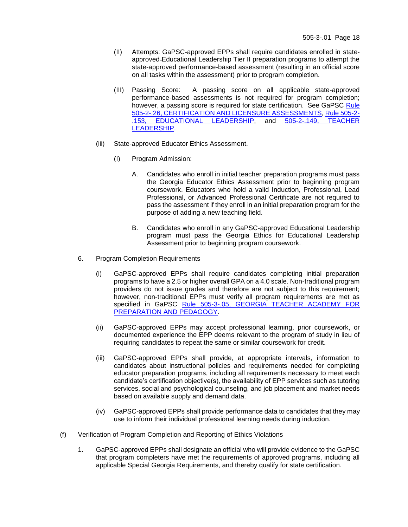- (II) Attempts: GaPSC-approved EPPs shall require candidates enrolled in stateapproved Educational Leadership Tier II preparation programs to attempt the state-approved performance-based assessment (resulting in an official score on all tasks within the assessment) prior to program completion.
- (III) Passing Score: A passing score on all applicable state-approved performance-based assessments is not required for program completion; however, a passing score is required for state certification. See GaPSC Rule [505-2-.26, CERTIFICATION AND LICENSURE ASSESSMENTS,](https://www.gapsc.com/Rules/Current/Certification/505-2-.26.pdf?dt=%3C%25#Eval() [Rule 505-2-](https://www.gapsc.com/Rules/Current/Certification/505-2-.153.pdf?dt=%3C%25#Eval() .153, [EDUCATIONAL LEADERSHIP,](https://www.gapsc.com/Rules/Current/Certification/505-2-.153.pdf?dt=%3C%25#Eval() [LEADERSHIP.](https://www.gapsc.com/Rules/Current/Certification/505-2-.149.pdf?dt=%3C%25#Eval()
- (iii) State-approved Educator Ethics Assessment.
	- (I) Program Admission:
		- A. Candidates who enroll in initial teacher preparation programs must pass the Georgia Educator Ethics Assessment prior to beginning program coursework. Educators who hold a valid Induction, Professional, Lead Professional, or Advanced Professional Certificate are not required to pass the assessment if they enroll in an initial preparation program for the purpose of adding a new teaching field.
		- B. Candidates who enroll in any GaPSC-approved Educational Leadership program must pass the Georgia Ethics for Educational Leadership Assessment prior to beginning program coursework.
- 6. Program Completion Requirements
	- (i) GaPSC-approved EPPs shall require candidates completing initial preparation programs to have a 2.5 or higher overall GPA on a 4.0 scale. Non-traditional program providers do not issue grades and therefore are not subject to this requirement; however, non-traditional EPPs must verify all program requirements are met as specified in GaPSC Rule 505-3-.05, [GEORGIA TEACHER ACADEMY FOR](https://www.gapsc.com/Rules/Current/EducatorPreparation/505-3-.05.pdf?dt=%3C%25#Eval()  [PREPARATION AND PEDAGOGY.](https://www.gapsc.com/Rules/Current/EducatorPreparation/505-3-.05.pdf?dt=%3C%25#Eval()
	- (ii) GaPSC-approved EPPs may accept professional learning, prior coursework, or documented experience the EPP deems relevant to the program of study in lieu of requiring candidates to repeat the same or similar coursework for credit.
	- (iii) GaPSC-approved EPPs shall provide, at appropriate intervals, information to candidates about instructional policies and requirements needed for completing educator preparation programs, including all requirements necessary to meet each candidate's certification objective(s), the availability of EPP services such as tutoring services, social and psychological counseling, and job placement and market needs based on available supply and demand data.
	- (iv) GaPSC-approved EPPs shall provide performance data to candidates that they may use to inform their individual professional learning needs during induction.
- (f) Verification of Program Completion and Reporting of Ethics Violations
	- 1. GaPSC-approved EPPs shall designate an official who will provide evidence to the GaPSC that program completers have met the requirements of approved programs, including all applicable Special Georgia Requirements, and thereby qualify for state certification.